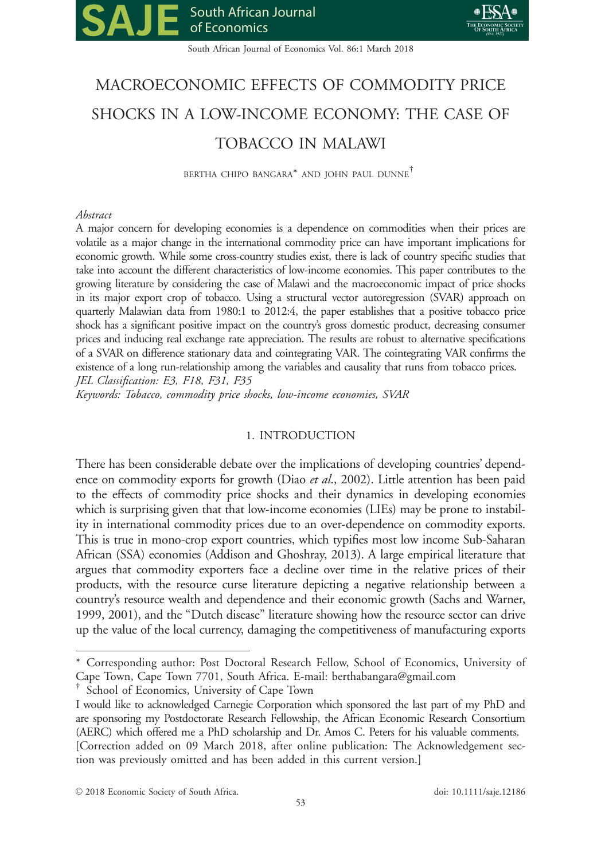



South African Journal of Economics Vol. 86:1 March 2018

# MACROECONOMIC EFFECTS OF COMMODITY PRICE SHOCKS IN A LOW-INCOME ECONOMY: THE CASE OF TOBACCO IN MALAWI

BERTHA CHIPO BANGARA\* AND JOHN PAUL DUNNE†

# Abstract

A major concern for developing economies is a dependence on commodities when their prices are volatile as a major change in the international commodity price can have important implications for economic growth. While some cross-country studies exist, there is lack of country specific studies that take into account the different characteristics of low-income economies. This paper contributes to the growing literature by considering the case of Malawi and the macroeconomic impact of price shocks in its major export crop of tobacco. Using a structural vector autoregression (SVAR) approach on quarterly Malawian data from 1980:1 to 2012:4, the paper establishes that a positive tobacco price shock has a significant positive impact on the country's gross domestic product, decreasing consumer prices and inducing real exchange rate appreciation. The results are robust to alternative specifications of a SVAR on difference stationary data and cointegrating VAR. The cointegrating VAR confirms the existence of a long run-relationship among the variables and causality that runs from tobacco prices. JEL Classification: E3, F18, F31, F35

Keywords: Tobacco, commodity price shocks, low-income economies, SVAR

# 1. INTRODUCTION

There has been considerable debate over the implications of developing countries' dependence on commodity exports for growth (Diao et al., 2002). Little attention has been paid to the effects of commodity price shocks and their dynamics in developing economies which is surprising given that that low-income economies (LIEs) may be prone to instability in international commodity prices due to an over-dependence on commodity exports. This is true in mono-crop export countries, which typifies most low income Sub-Saharan African (SSA) economies (Addison and Ghoshray, 2013). A large empirical literature that argues that commodity exporters face a decline over time in the relative prices of their products, with the resource curse literature depicting a negative relationship between a country's resource wealth and dependence and their economic growth (Sachs and Warner, 1999, 2001), and the "Dutch disease" literature showing how the resource sector can drive up the value of the local currency, damaging the competitiveness of manufacturing exports

<sup>\*</sup> Corresponding author: Post Doctoral Research Fellow, School of Economics, University of Cape Town, Cape Town 7701, South Africa. E-mail: berthabangara@gmail.com

School of Economics, University of Cape Town

I would like to acknowledged Carnegie Corporation which sponsored the last part of my PhD and are sponsoring my Postdoctorate Research Fellowship, the African Economic Research Consortium (AERC) which offered me a PhD scholarship and Dr. Amos C. Peters for his valuable comments. [Correction added on 09 March 2018, after online publication: The Acknowledgement section was previously omitted and has been added in this current version.]

V<sup>C</sup> 2018 Economic Society of South Africa. doi: 10.1111/saje.12186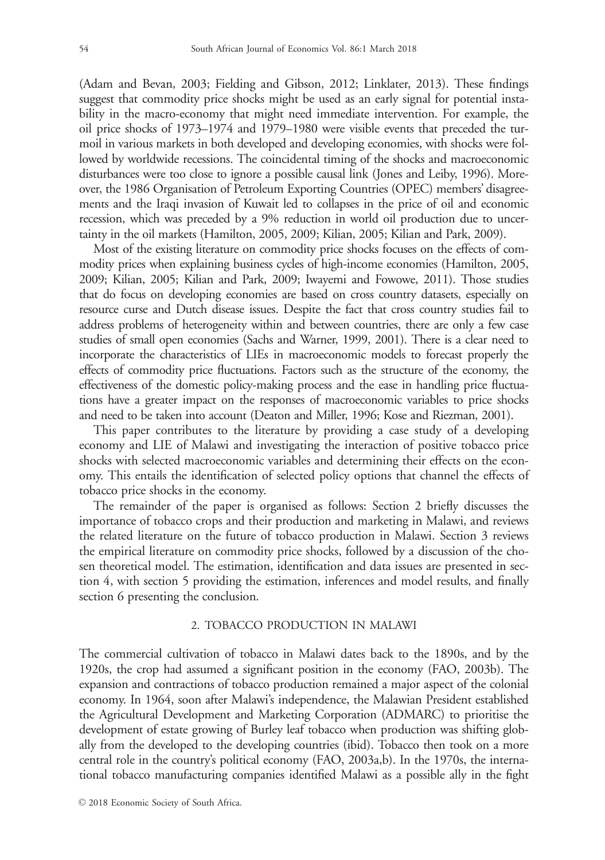(Adam and Bevan, 2003; Fielding and Gibson, 2012; Linklater, 2013). These findings suggest that commodity price shocks might be used as an early signal for potential instability in the macro-economy that might need immediate intervention. For example, the oil price shocks of 1973–1974 and 1979–1980 were visible events that preceded the turmoil in various markets in both developed and developing economies, with shocks were followed by worldwide recessions. The coincidental timing of the shocks and macroeconomic disturbances were too close to ignore a possible causal link (Jones and Leiby, 1996). Moreover, the 1986 Organisation of Petroleum Exporting Countries (OPEC) members' disagreements and the Iraqi invasion of Kuwait led to collapses in the price of oil and economic recession, which was preceded by a 9% reduction in world oil production due to uncertainty in the oil markets (Hamilton, 2005, 2009; Kilian, 2005; Kilian and Park, 2009).

Most of the existing literature on commodity price shocks focuses on the effects of commodity prices when explaining business cycles of high-income economies (Hamilton, 2005, 2009; Kilian, 2005; Kilian and Park, 2009; Iwayemi and Fowowe, 2011). Those studies that do focus on developing economies are based on cross country datasets, especially on resource curse and Dutch disease issues. Despite the fact that cross country studies fail to address problems of heterogeneity within and between countries, there are only a few case studies of small open economies (Sachs and Warner, 1999, 2001). There is a clear need to incorporate the characteristics of LIEs in macroeconomic models to forecast properly the effects of commodity price fluctuations. Factors such as the structure of the economy, the effectiveness of the domestic policy-making process and the ease in handling price fluctuations have a greater impact on the responses of macroeconomic variables to price shocks and need to be taken into account (Deaton and Miller, 1996; Kose and Riezman, 2001).

This paper contributes to the literature by providing a case study of a developing economy and LIE of Malawi and investigating the interaction of positive tobacco price shocks with selected macroeconomic variables and determining their effects on the economy. This entails the identification of selected policy options that channel the effects of tobacco price shocks in the economy.

The remainder of the paper is organised as follows: Section 2 briefly discusses the importance of tobacco crops and their production and marketing in Malawi, and reviews the related literature on the future of tobacco production in Malawi. Section 3 reviews the empirical literature on commodity price shocks, followed by a discussion of the chosen theoretical model. The estimation, identification and data issues are presented in section 4, with section 5 providing the estimation, inferences and model results, and finally section 6 presenting the conclusion.

## 2. TOBACCO PRODUCTION IN MALAWI

The commercial cultivation of tobacco in Malawi dates back to the 1890s, and by the 1920s, the crop had assumed a significant position in the economy (FAO, 2003b). The expansion and contractions of tobacco production remained a major aspect of the colonial economy. In 1964, soon after Malawi's independence, the Malawian President established the Agricultural Development and Marketing Corporation (ADMARC) to prioritise the development of estate growing of Burley leaf tobacco when production was shifting globally from the developed to the developing countries (ibid). Tobacco then took on a more central role in the country's political economy (FAO, 2003a,b). In the 1970s, the international tobacco manufacturing companies identified Malawi as a possible ally in the fight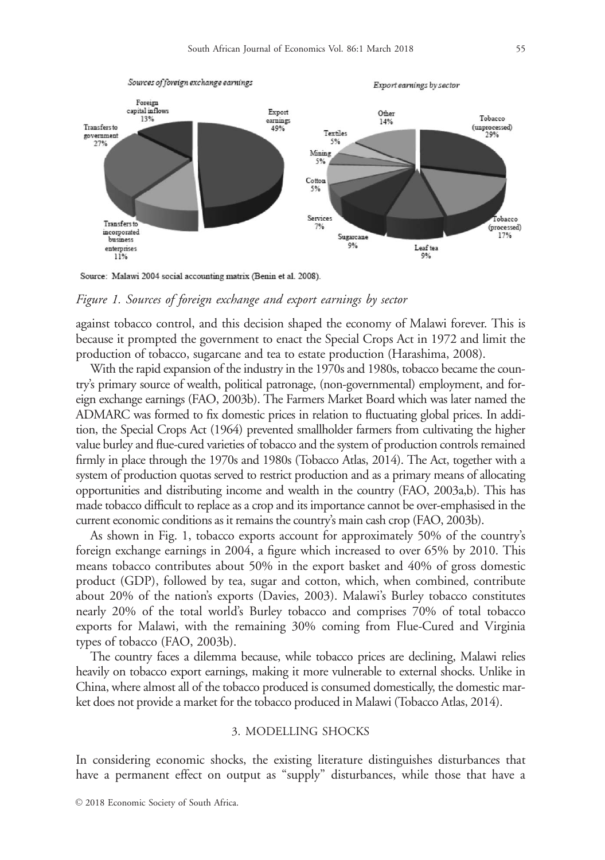

Source: Malawi 2004 social accounting matrix (Benin et al. 2008).

#### Figure 1. Sources of foreign exchange and export earnings by sector

against tobacco control, and this decision shaped the economy of Malawi forever. This is because it prompted the government to enact the Special Crops Act in 1972 and limit the production of tobacco, sugarcane and tea to estate production (Harashima, 2008).

With the rapid expansion of the industry in the 1970s and 1980s, tobacco became the country's primary source of wealth, political patronage, (non-governmental) employment, and foreign exchange earnings (FAO, 2003b). The Farmers Market Board which was later named the ADMARC was formed to fix domestic prices in relation to fluctuating global prices. In addition, the Special Crops Act (1964) prevented smallholder farmers from cultivating the higher value burley and flue-cured varieties of tobacco and the system of production controls remained firmly in place through the 1970s and 1980s (Tobacco Atlas, 2014). The Act, together with a system of production quotas served to restrict production and as a primary means of allocating opportunities and distributing income and wealth in the country (FAO, 2003a,b). This has made tobacco difficult to replace as a crop and its importance cannot be over-emphasised in the current economic conditions as it remains the country's main cash crop (FAO, 2003b).

As shown in Fig. 1, tobacco exports account for approximately 50% of the country's foreign exchange earnings in 2004, a figure which increased to over 65% by 2010. This means tobacco contributes about 50% in the export basket and 40% of gross domestic product (GDP), followed by tea, sugar and cotton, which, when combined, contribute about 20% of the nation's exports (Davies, 2003). Malawi's Burley tobacco constitutes nearly 20% of the total world's Burley tobacco and comprises 70% of total tobacco exports for Malawi, with the remaining 30% coming from Flue-Cured and Virginia types of tobacco (FAO, 2003b).

The country faces a dilemma because, while tobacco prices are declining, Malawi relies heavily on tobacco export earnings, making it more vulnerable to external shocks. Unlike in China, where almost all of the tobacco produced is consumed domestically, the domestic market does not provide a market for the tobacco produced in Malawi (Tobacco Atlas, 2014).

#### 3. MODELLING SHOCKS

In considering economic shocks, the existing literature distinguishes disturbances that have a permanent effect on output as "supply" disturbances, while those that have a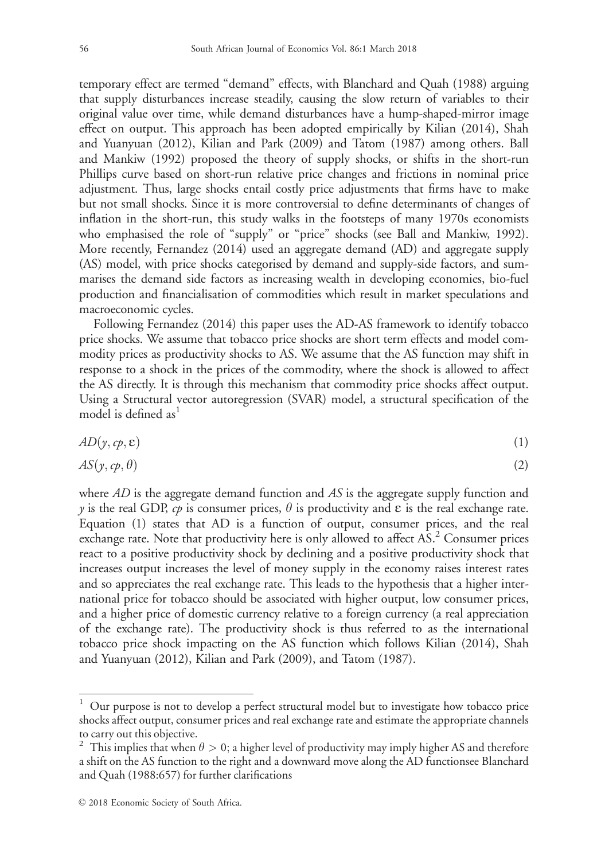temporary effect are termed "demand" effects, with Blanchard and Quah (1988) arguing that supply disturbances increase steadily, causing the slow return of variables to their original value over time, while demand disturbances have a hump-shaped-mirror image effect on output. This approach has been adopted empirically by Kilian (2014), Shah and Yuanyuan (2012), Kilian and Park (2009) and Tatom (1987) among others. Ball and Mankiw (1992) proposed the theory of supply shocks, or shifts in the short-run Phillips curve based on short-run relative price changes and frictions in nominal price adjustment. Thus, large shocks entail costly price adjustments that firms have to make but not small shocks. Since it is more controversial to define determinants of changes of inflation in the short-run, this study walks in the footsteps of many 1970s economists who emphasised the role of "supply" or "price" shocks (see Ball and Mankiw, 1992). More recently, Fernandez (2014) used an aggregate demand (AD) and aggregate supply (AS) model, with price shocks categorised by demand and supply-side factors, and summarises the demand side factors as increasing wealth in developing economies, bio-fuel production and financialisation of commodities which result in market speculations and macroeconomic cycles.

Following Fernandez (2014) this paper uses the AD-AS framework to identify tobacco price shocks. We assume that tobacco price shocks are short term effects and model commodity prices as productivity shocks to AS. We assume that the AS function may shift in response to a shock in the prices of the commodity, where the shock is allowed to affect the AS directly. It is through this mechanism that commodity price shocks affect output. Using a Structural vector autoregression (SVAR) model, a structural specification of the model is defined as  $1$ 

$$
AD(y, cp, \varepsilon) \tag{1}
$$

$$
AS(y, cp, \theta) \tag{2}
$$

where  $AD$  is the aggregate demand function and  $AS$  is the aggregate supply function and y is the real GDP,  $c\phi$  is consumer prices,  $\theta$  is productivity and  $\varepsilon$  is the real exchange rate. Equation (1) states that AD is a function of output, consumer prices, and the real exchange rate. Note that productivity here is only allowed to affect AS.<sup>2</sup> Consumer prices react to a positive productivity shock by declining and a positive productivity shock that increases output increases the level of money supply in the economy raises interest rates and so appreciates the real exchange rate. This leads to the hypothesis that a higher international price for tobacco should be associated with higher output, low consumer prices, and a higher price of domestic currency relative to a foreign currency (a real appreciation of the exchange rate). The productivity shock is thus referred to as the international tobacco price shock impacting on the AS function which follows Kilian (2014), Shah and Yuanyuan (2012), Kilian and Park (2009), and Tatom (1987).

 $1$  Our purpose is not to develop a perfect structural model but to investigate how tobacco price shocks affect output, consumer prices and real exchange rate and estimate the appropriate channels to carry out this objective.

<sup>&</sup>lt;sup>2</sup> This implies that when  $\theta > 0$ ; a higher level of productivity may imply higher AS and therefore a shift on the AS function to the right and a downward move along the AD functionsee Blanchard and Quah (1988:657) for further clarifications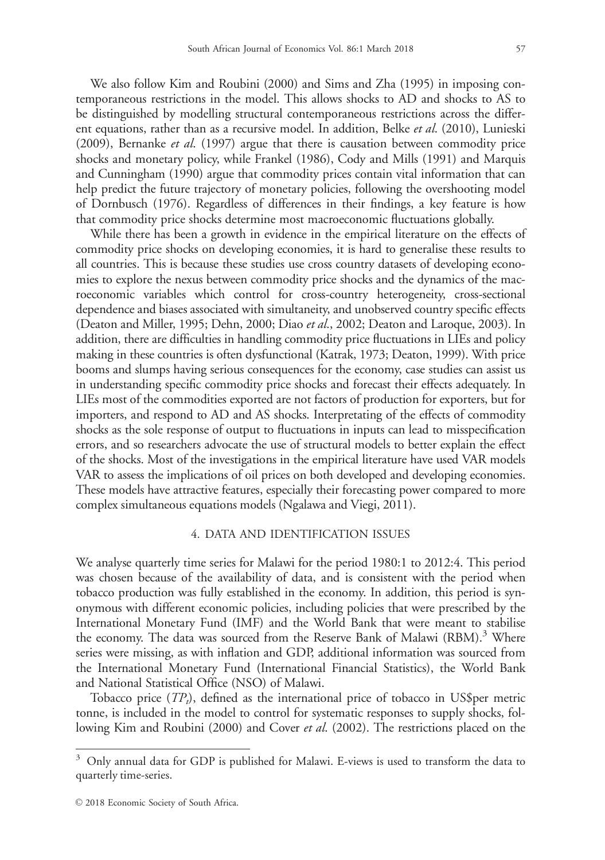We also follow Kim and Roubini (2000) and Sims and Zha (1995) in imposing contemporaneous restrictions in the model. This allows shocks to AD and shocks to AS to be distinguished by modelling structural contemporaneous restrictions across the different equations, rather than as a recursive model. In addition, Belke et al. (2010), Lunieski (2009), Bernanke et al. (1997) argue that there is causation between commodity price shocks and monetary policy, while Frankel (1986), Cody and Mills (1991) and Marquis and Cunningham (1990) argue that commodity prices contain vital information that can help predict the future trajectory of monetary policies, following the overshooting model of Dornbusch (1976). Regardless of differences in their findings, a key feature is how that commodity price shocks determine most macroeconomic fluctuations globally.

While there has been a growth in evidence in the empirical literature on the effects of commodity price shocks on developing economies, it is hard to generalise these results to all countries. This is because these studies use cross country datasets of developing economies to explore the nexus between commodity price shocks and the dynamics of the macroeconomic variables which control for cross-country heterogeneity, cross-sectional dependence and biases associated with simultaneity, and unobserved country specific effects (Deaton and Miller, 1995; Dehn, 2000; Diao et al., 2002; Deaton and Laroque, 2003). In addition, there are difficulties in handling commodity price fluctuations in LIEs and policy making in these countries is often dysfunctional (Katrak, 1973; Deaton, 1999). With price booms and slumps having serious consequences for the economy, case studies can assist us in understanding specific commodity price shocks and forecast their effects adequately. In LIEs most of the commodities exported are not factors of production for exporters, but for importers, and respond to AD and AS shocks. Interpretating of the effects of commodity shocks as the sole response of output to fluctuations in inputs can lead to misspecification errors, and so researchers advocate the use of structural models to better explain the effect of the shocks. Most of the investigations in the empirical literature have used VAR models VAR to assess the implications of oil prices on both developed and developing economies. These models have attractive features, especially their forecasting power compared to more complex simultaneous equations models (Ngalawa and Viegi, 2011).

## 4. DATA AND IDENTIFICATION ISSUES

We analyse quarterly time series for Malawi for the period 1980:1 to 2012:4. This period was chosen because of the availability of data, and is consistent with the period when tobacco production was fully established in the economy. In addition, this period is synonymous with different economic policies, including policies that were prescribed by the International Monetary Fund (IMF) and the World Bank that were meant to stabilise the economy. The data was sourced from the Reserve Bank of Malawi (RBM).<sup>3</sup> Where series were missing, as with inflation and GDP, additional information was sourced from the International Monetary Fund (International Financial Statistics), the World Bank and National Statistical Office (NSO) of Malawi.

Tobacco price  $(TP_t)$ , defined as the international price of tobacco in US\$per metric tonne, is included in the model to control for systematic responses to supply shocks, following Kim and Roubini (2000) and Cover *et al.* (2002). The restrictions placed on the

 $3$  Only annual data for GDP is published for Malawi. E-views is used to transform the data to quarterly time-series.

 $\odot$  2018 Economic Society of South Africa.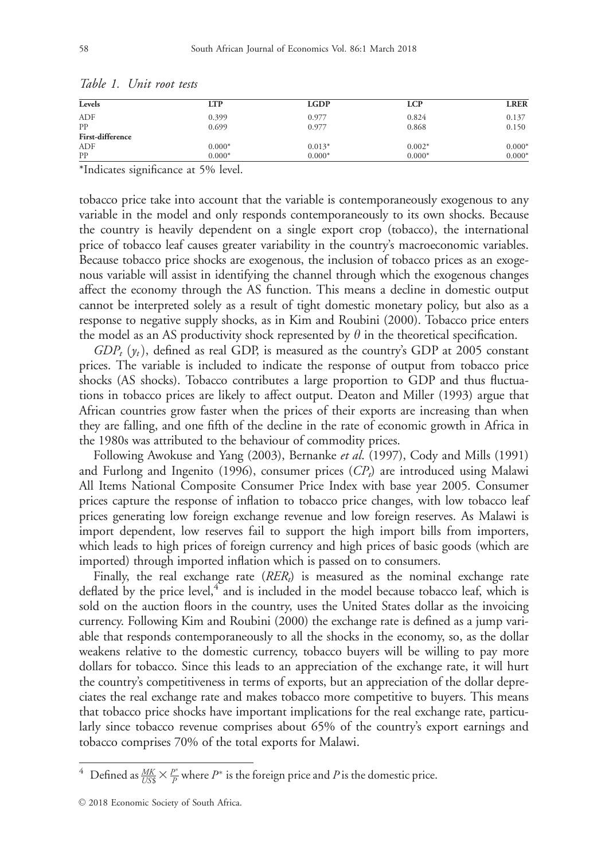| Levels                  | <b>LTP</b> | <b>LGDP</b> | <b>LCP</b> | <b>LRER</b> |
|-------------------------|------------|-------------|------------|-------------|
| <b>ADF</b>              | 0.399      | 0.977       | 0.824      | 0.137       |
| PP                      | 0.699      | 0.977       | 0.868      | 0.150       |
| <b>First-difference</b> |            |             |            |             |
| ADF                     | $0.000*$   | $0.013*$    | $0.002*$   | $0.000*$    |
| PP                      | $0.000*$   | $0.000*$    | $0.000*$   | $0.000*$    |

| Table 1. | Unit root tests |  |
|----------|-----------------|--|
|          |                 |  |
|          |                 |  |
|          |                 |  |
|          |                 |  |
|          |                 |  |
|          |                 |  |
|          |                 |  |
|          |                 |  |
|          |                 |  |
|          |                 |  |
|          |                 |  |
|          |                 |  |
|          |                 |  |
|          |                 |  |
|          |                 |  |
|          |                 |  |

\*Indicates significance at 5% level.

tobacco price take into account that the variable is contemporaneously exogenous to any variable in the model and only responds contemporaneously to its own shocks. Because the country is heavily dependent on a single export crop (tobacco), the international price of tobacco leaf causes greater variability in the country's macroeconomic variables. Because tobacco price shocks are exogenous, the inclusion of tobacco prices as an exogenous variable will assist in identifying the channel through which the exogenous changes affect the economy through the AS function. This means a decline in domestic output cannot be interpreted solely as a result of tight domestic monetary policy, but also as a response to negative supply shocks, as in Kim and Roubini (2000). Tobacco price enters the model as an AS productivity shock represented by  $\theta$  in the theoretical specification.

 $GDP_t$  ( $y_t$ ), defined as real GDP, is measured as the country's GDP at 2005 constant prices. The variable is included to indicate the response of output from tobacco price shocks (AS shocks). Tobacco contributes a large proportion to GDP and thus fluctuations in tobacco prices are likely to affect output. Deaton and Miller (1993) argue that African countries grow faster when the prices of their exports are increasing than when they are falling, and one fifth of the decline in the rate of economic growth in Africa in the 1980s was attributed to the behaviour of commodity prices.

Following Awokuse and Yang (2003), Bernanke et al. (1997), Cody and Mills (1991) and Furlong and Ingenito (1996), consumer prices  $(CP_t)$  are introduced using Malawi All Items National Composite Consumer Price Index with base year 2005. Consumer prices capture the response of inflation to tobacco price changes, with low tobacco leaf prices generating low foreign exchange revenue and low foreign reserves. As Malawi is import dependent, low reserves fail to support the high import bills from importers, which leads to high prices of foreign currency and high prices of basic goods (which are imported) through imported inflation which is passed on to consumers.

Finally, the real exchange rate  $(RER_t)$  is measured as the nominal exchange rate deflated by the price level, $4$  and is included in the model because tobacco leaf, which is sold on the auction floors in the country, uses the United States dollar as the invoicing currency. Following Kim and Roubini (2000) the exchange rate is defined as a jump variable that responds contemporaneously to all the shocks in the economy, so, as the dollar weakens relative to the domestic currency, tobacco buyers will be willing to pay more dollars for tobacco. Since this leads to an appreciation of the exchange rate, it will hurt the country's competitiveness in terms of exports, but an appreciation of the dollar depreciates the real exchange rate and makes tobacco more competitive to buyers. This means that tobacco price shocks have important implications for the real exchange rate, particularly since tobacco revenue comprises about 65% of the country's export earnings and tobacco comprises 70% of the total exports for Malawi.

<sup>&</sup>lt;sup>4</sup> Defined as  $\frac{MK}{USS} \times \frac{P^*}{P}$  where  $P^*$  is the foreign price and P is the domestic price.

 $\odot$  2018 Economic Society of South Africa.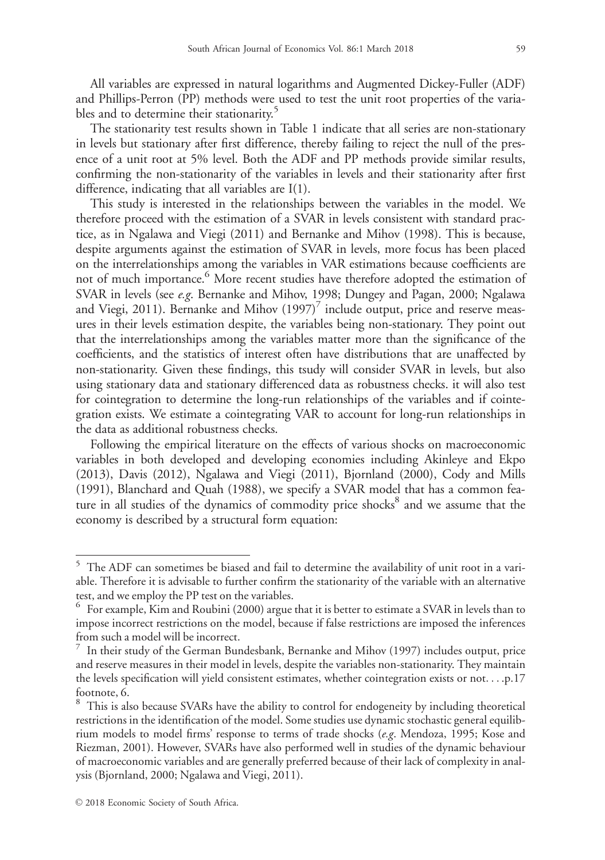All variables are expressed in natural logarithms and Augmented Dickey-Fuller (ADF) and Phillips-Perron (PP) methods were used to test the unit root properties of the variables and to determine their stationarity.<sup>5</sup>

The stationarity test results shown in Table 1 indicate that all series are non-stationary in levels but stationary after first difference, thereby failing to reject the null of the presence of a unit root at 5% level. Both the ADF and PP methods provide similar results, confirming the non-stationarity of the variables in levels and their stationarity after first difference, indicating that all variables are I(1).

This study is interested in the relationships between the variables in the model. We therefore proceed with the estimation of a SVAR in levels consistent with standard practice, as in Ngalawa and Viegi (2011) and Bernanke and Mihov (1998). This is because, despite arguments against the estimation of SVAR in levels, more focus has been placed on the interrelationships among the variables in VAR estimations because coefficients are not of much importance.<sup>6</sup> More recent studies have therefore adopted the estimation of SVAR in levels (see e.g. Bernanke and Mihov, 1998; Dungey and Pagan, 2000; Ngalawa and Viegi, 2011). Bernanke and Mihov  $(1997)^7$  include output, price and reserve measures in their levels estimation despite, the variables being non-stationary. They point out that the interrelationships among the variables matter more than the significance of the coefficients, and the statistics of interest often have distributions that are unaffected by non-stationarity. Given these findings, this tsudy will consider SVAR in levels, but also using stationary data and stationary differenced data as robustness checks. it will also test for cointegration to determine the long-run relationships of the variables and if cointegration exists. We estimate a cointegrating VAR to account for long-run relationships in the data as additional robustness checks.

Following the empirical literature on the effects of various shocks on macroeconomic variables in both developed and developing economies including Akinleye and Ekpo (2013), Davis (2012), Ngalawa and Viegi (2011), Bjornland (2000), Cody and Mills (1991), Blanchard and Quah (1988), we specify a SVAR model that has a common feature in all studies of the dynamics of commodity price shocks<sup>8</sup> and we assume that the economy is described by a structural form equation:

<sup>&</sup>lt;sup>5</sup> The ADF can sometimes be biased and fail to determine the availability of unit root in a variable. Therefore it is advisable to further confirm the stationarity of the variable with an alternative test, and we employ the PP test on the variables.

<sup>&</sup>lt;sup>6</sup> For example, Kim and Roubini (2000) argue that it is better to estimate a SVAR in levels than to impose incorrect restrictions on the model, because if false restrictions are imposed the inferences from such a model will be incorrect.

<sup>7</sup> In their study of the German Bundesbank, Bernanke and Mihov (1997) includes output, price and reserve measures in their model in levels, despite the variables non-stationarity. They maintain the levels specification will yield consistent estimates, whether cointegration exists or not... .p.17 footnote, 6.

<sup>&</sup>lt;sup>8</sup> This is also because SVARs have the ability to control for endogeneity by including theoretical restrictions in the identification of the model. Some studies use dynamic stochastic general equilibrium models to model firms' response to terms of trade shocks (e.g. Mendoza, 1995; Kose and Riezman, 2001). However, SVARs have also performed well in studies of the dynamic behaviour of macroeconomic variables and are generally preferred because of their lack of complexity in analysis (Bjornland, 2000; Ngalawa and Viegi, 2011).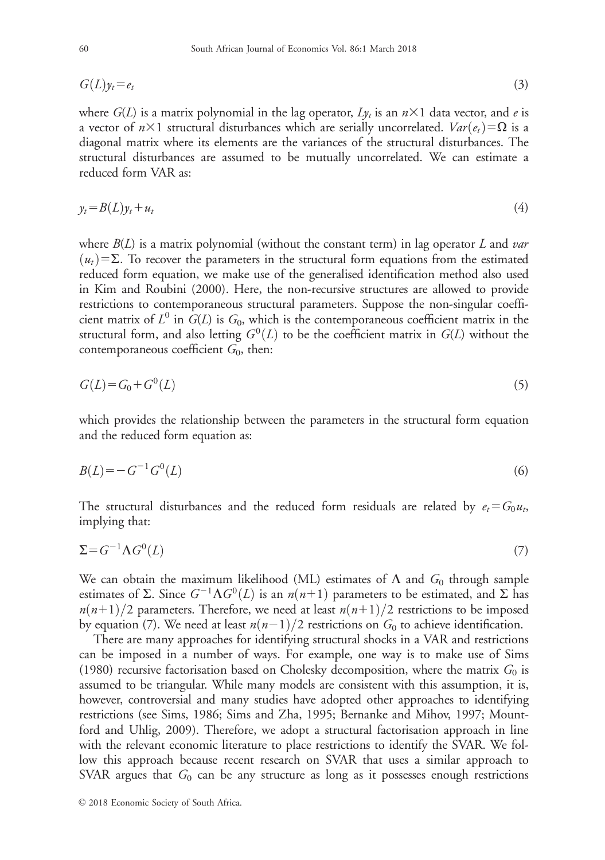$$
G(L)y_t = e_t \tag{3}
$$

where  $G(L)$  is a matrix polynomial in the lag operator,  $Ly_t$  is an  $n\times1$  data vector, and e is a vector of  $n\times1$  structural disturbances which are serially uncorrelated.  $Var(e_t) = \Omega$  is a diagonal matrix where its elements are the variances of the structural disturbances. The structural disturbances are assumed to be mutually uncorrelated. We can estimate a reduced form VAR as:

$$
y_t = B(L)y_t + u_t \tag{4}
$$

where  $B(L)$  is a matrix polynomial (without the constant term) in lag operator L and var  $(u_t)$ = $\Sigma$ . To recover the parameters in the structural form equations from the estimated reduced form equation, we make use of the generalised identification method also used in Kim and Roubini (2000). Here, the non-recursive structures are allowed to provide restrictions to contemporaneous structural parameters. Suppose the non-singular coefficient matrix of  $L^0$  in  $G(L)$  is  $G_0$ , which is the contemporaneous coefficient matrix in the structural form, and also letting  $G^0(L)$  to be the coefficient matrix in  $G(L)$  without the contemporaneous coefficient  $G_0$ , then:

$$
G(L) = G_0 + G^0(L) \tag{5}
$$

which provides the relationship between the parameters in the structural form equation and the reduced form equation as:

$$
B(L) = -G^{-1}G^{0}(L)
$$
\n(6)

The structural disturbances and the reduced form residuals are related by  $e_t = G_0 u_t$ , implying that:

$$
\Sigma = G^{-1} \Lambda G^0(L) \tag{7}
$$

We can obtain the maximum likelihood (ML) estimates of  $\Lambda$  and  $G_0$  through sample estimates of  $\Sigma$ . Since  $G^{-1}\Lambda G^0(L)$  is an  $n(n+1)$  parameters to be estimated, and  $\Sigma$  has  $n(n+1)/2$  parameters. Therefore, we need at least  $n(n+1)/2$  restrictions to be imposed by equation (7). We need at least  $n(n-1)/2$  restrictions on  $G_0$  to achieve identification.

There are many approaches for identifying structural shocks in a VAR and restrictions can be imposed in a number of ways. For example, one way is to make use of Sims (1980) recursive factorisation based on Cholesky decomposition, where the matrix  $G_0$  is assumed to be triangular. While many models are consistent with this assumption, it is, however, controversial and many studies have adopted other approaches to identifying restrictions (see Sims, 1986; Sims and Zha, 1995; Bernanke and Mihov, 1997; Mountford and Uhlig, 2009). Therefore, we adopt a structural factorisation approach in line with the relevant economic literature to place restrictions to identify the SVAR. We follow this approach because recent research on SVAR that uses a similar approach to SVAR argues that  $G_0$  can be any structure as long as it possesses enough restrictions

 $©$  2018 Economic Society of South Africa.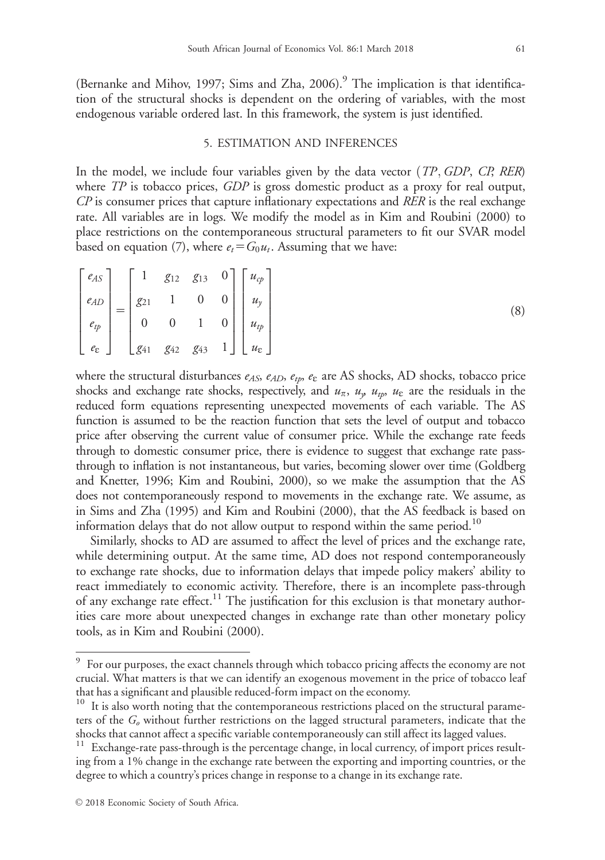(Bernanke and Mihov, 1997; Sims and Zha, 2006).<sup>9</sup> The implication is that identification of the structural shocks is dependent on the ordering of variables, with the most endogenous variable ordered last. In this framework, the system is just identified.

## 5. ESTIMATION AND INFERENCES

In the model, we include four variables given by the data vector  $(TP, GDP, CP, RER)$ where TP is tobacco prices, GDP is gross domestic product as a proxy for real output,  $\mathbb{CP}$  is consumer prices that capture inflationary expectations and RER is the real exchange rate. All variables are in logs. We modify the model as in Kim and Roubini (2000) to place restrictions on the contemporaneous structural parameters to fit our SVAR model based on equation (7), where  $e_t = G_0 u_t$ . Assuming that we have:

$$
\begin{bmatrix} e_{AS} \\ e_{AD} \\ e_{tp} \\ e_{\varepsilon} \end{bmatrix} = \begin{bmatrix} 1 & g_{12} & g_{13} & 0 \\ g_{21} & 1 & 0 & 0 \\ 0 & 0 & 1 & 0 \\ g_{41} & g_{42} & g_{43} & 1 \end{bmatrix} \begin{bmatrix} u_{cp} \\ u_y \\ u_{tp} \\ u_{\varepsilon} \end{bmatrix}
$$
 (8)

where the structural disturbances  $e_{AS}$ ,  $e_{AD}$ ,  $e_{tp}$ ,  $e_{\varepsilon}$  are AS shocks, AD shocks, tobacco price shocks and exchange rate shocks, respectively, and  $u_{\pi}$ ,  $u_{y}$ ,  $u_{tp}$ ,  $u_{\varepsilon}$  are the residuals in the reduced form equations representing unexpected movements of each variable. The AS function is assumed to be the reaction function that sets the level of output and tobacco price after observing the current value of consumer price. While the exchange rate feeds through to domestic consumer price, there is evidence to suggest that exchange rate passthrough to inflation is not instantaneous, but varies, becoming slower over time (Goldberg and Knetter, 1996; Kim and Roubini, 2000), so we make the assumption that the AS does not contemporaneously respond to movements in the exchange rate. We assume, as in Sims and Zha (1995) and Kim and Roubini (2000), that the AS feedback is based on information delays that do not allow output to respond within the same period.<sup>10</sup>

Similarly, shocks to AD are assumed to affect the level of prices and the exchange rate, while determining output. At the same time, AD does not respond contemporaneously to exchange rate shocks, due to information delays that impede policy makers' ability to react immediately to economic activity. Therefore, there is an incomplete pass-through of any exchange rate effect.<sup>11</sup> The justification for this exclusion is that monetary authorities care more about unexpected changes in exchange rate than other monetary policy tools, as in Kim and Roubini (2000).

<sup>&</sup>lt;sup>9</sup> For our purposes, the exact channels through which tobacco pricing affects the economy are not crucial. What matters is that we can identify an exogenous movement in the price of tobacco leaf that has a significant and plausible reduced-form impact on the economy.

<sup>&</sup>lt;sup>10</sup> It is also worth noting that the contemporaneous restrictions placed on the structural parameters of the  $G<sub>o</sub>$  without further restrictions on the lagged structural parameters, indicate that the shocks that cannot affect a specific variable contemporaneously can still affect its lagged values.

<sup>&</sup>lt;sup>11</sup> Exchange-rate pass-through is the percentage change, in local currency, of import prices resulting from a 1% change in the exchange rate between the exporting and importing countries, or the degree to which a country's prices change in response to a change in its exchange rate.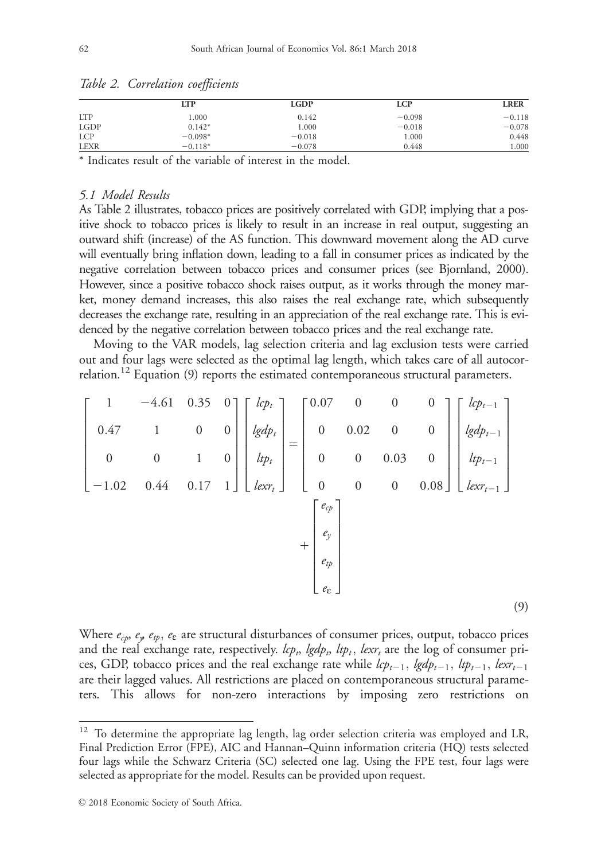|             | LTP       | <b>LGDP</b> | LCP      | <b>LRER</b> |
|-------------|-----------|-------------|----------|-------------|
| <b>LTP</b>  | 000.1     | 0.142       | $-0.098$ | $-0.118$    |
| <b>LGDP</b> | $0.142*$  | 1.000       | $-0.018$ | $-0.078$    |
| <b>LCP</b>  | $-0.098*$ | $-0.018$    | 1.000    | 0.448       |
| <b>LEXR</b> | $-0.118*$ | $-0.078$    | 0.448    | 000.        |

Table 2. Correlation coefficients

\* Indicates result of the variable of interest in the model.

# 5.1 Model Results

As Table 2 illustrates, tobacco prices are positively correlated with GDP, implying that a positive shock to tobacco prices is likely to result in an increase in real output, suggesting an outward shift (increase) of the AS function. This downward movement along the AD curve will eventually bring inflation down, leading to a fall in consumer prices as indicated by the negative correlation between tobacco prices and consumer prices (see Bjornland, 2000). However, since a positive tobacco shock raises output, as it works through the money market, money demand increases, this also raises the real exchange rate, which subsequently decreases the exchange rate, resulting in an appreciation of the real exchange rate. This is evidenced by the negative correlation between tobacco prices and the real exchange rate.

Moving to the VAR models, lag selection criteria and lag exclusion tests were carried out and four lags were selected as the optimal lag length, which takes care of all autocorrelation.<sup>12</sup> Equation (9) reports the estimated contemporaneous structural parameters.

$$
\begin{bmatrix}\n1 & -4.61 & 0.35 & 0 \\
0.47 & 1 & 0 & 0 \\
0 & 0 & 1 & 0 \\
-1.02 & 0.44 & 0.17 & 1\n\end{bmatrix}\n\begin{bmatrix}\n\frac{lcp_t}{lgdp_t} \\
\frac{lgdp_t}{dp_t} \\
\frac{lpr_t}{dp_t}\n\end{bmatrix} = \n\begin{bmatrix}\n0.07 & 0 & 0 & 0 \\
0 & 0.02 & 0 & 0 \\
0 & 0 & 0.03 & 0 \\
0 & 0 & 0 & 0.08\n\end{bmatrix}\n\begin{bmatrix}\n\frac{lcp_{t-1}}{lgdp_{t-1}} \\
\frac{lgdp_{t-1}}{dp_{t-1}} \\
\frac{lpr_t}{dp_t} \\
\frac{e_y}{ep} \\
\frac{e_z}{dp}\n\end{bmatrix}
$$
\n(9)

Where  $e_{cp}$ ,  $e_{y}$ ,  $e_{tp}$ ,  $e_{\epsilon}$  are structural disturbances of consumer prices, output, tobacco prices and the real exchange rate, respectively.  $lcp_b$ ,  $lgdp_b$ ,  $ltp_t$ ,  $lexr_t$  are the log of consumer prices, GDP, tobacco prices and the real exchange rate while  $lcp_{t-1}$ ,  $lgdp_{t-1}$ ,  $ltp_{t-1}$ ,  $lexr_{t-1}$ are their lagged values. All restrictions are placed on contemporaneous structural parameters. This allows for non-zero interactions by imposing zero restrictions on

<sup>&</sup>lt;sup>12</sup> To determine the appropriate lag length, lag order selection criteria was employed and LR, Final Prediction Error (FPE), AIC and Hannan–Quinn information criteria (HQ) tests selected four lags while the Schwarz Criteria (SC) selected one lag. Using the FPE test, four lags were selected as appropriate for the model. Results can be provided upon request.

 $\odot$  2018 Economic Society of South Africa.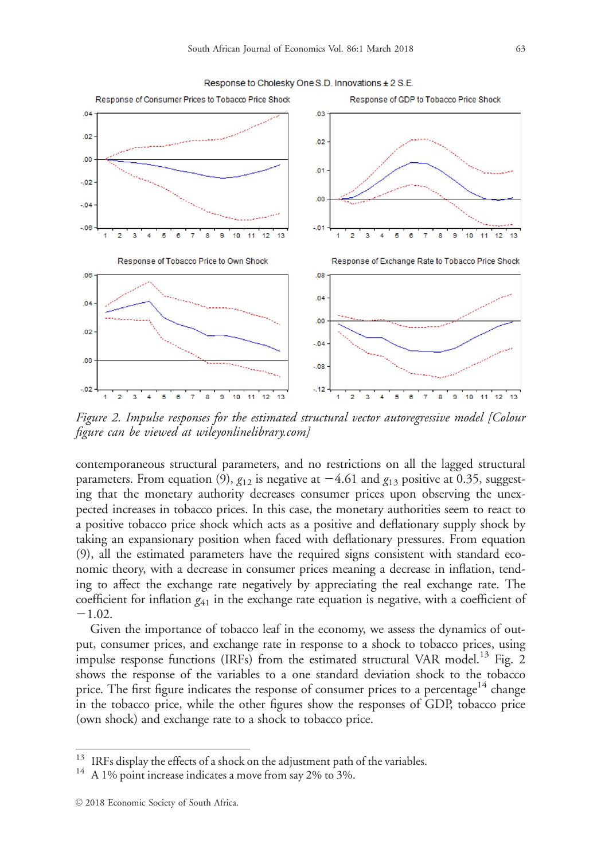

Figure 2. Impulse responses for the estimated structural vector autoregressive model [Colour figure can be viewed at [wileyonlinelibrary.com](http://wileyonlinelibrary.com)]

contemporaneous structural parameters, and no restrictions on all the lagged structural parameters. From equation (9),  $g_{12}$  is negative at  $-4.61$  and  $g_{13}$  positive at 0.35, suggesting that the monetary authority decreases consumer prices upon observing the unexpected increases in tobacco prices. In this case, the monetary authorities seem to react to a positive tobacco price shock which acts as a positive and deflationary supply shock by taking an expansionary position when faced with deflationary pressures. From equation (9), all the estimated parameters have the required signs consistent with standard economic theory, with a decrease in consumer prices meaning a decrease in inflation, tending to affect the exchange rate negatively by appreciating the real exchange rate. The coefficient for inflation  $g_{41}$  in the exchange rate equation is negative, with a coefficient of  $-1.02.$ 

Given the importance of tobacco leaf in the economy, we assess the dynamics of output, consumer prices, and exchange rate in response to a shock to tobacco prices, using impulse response functions (IRFs) from the estimated structural VAR model.<sup>13</sup> Fig. 2 shows the response of the variables to a one standard deviation shock to the tobacco price. The first figure indicates the response of consumer prices to a percentage<sup>14</sup> change in the tobacco price, while the other figures show the responses of GDP, tobacco price (own shock) and exchange rate to a shock to tobacco price.

<sup>&</sup>lt;sup>13</sup> IRFs display the effects of a shock on the adjustment path of the variables.<br><sup>14</sup> A 1% point increase indicates a move from say 2% to 3%.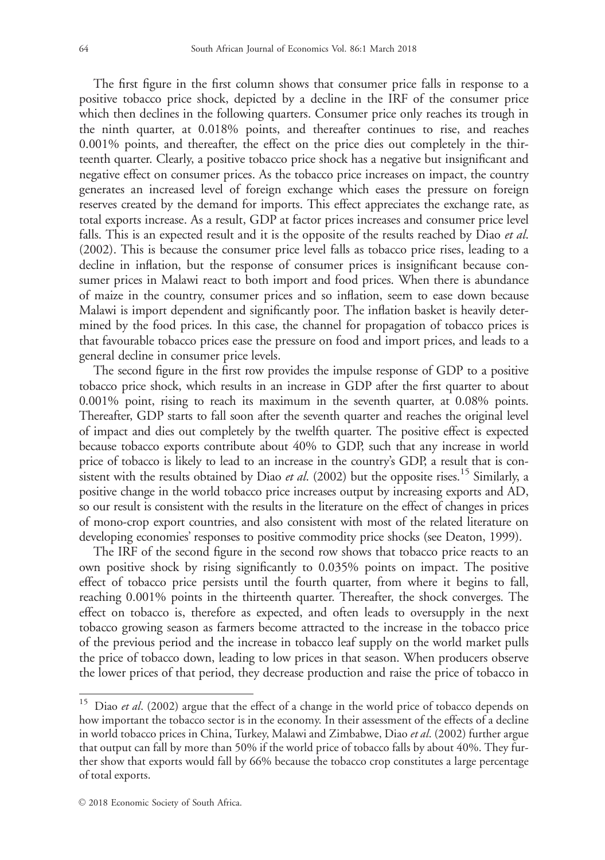The first figure in the first column shows that consumer price falls in response to a positive tobacco price shock, depicted by a decline in the IRF of the consumer price which then declines in the following quarters. Consumer price only reaches its trough in the ninth quarter, at 0.018% points, and thereafter continues to rise, and reaches 0.001% points, and thereafter, the effect on the price dies out completely in the thirteenth quarter. Clearly, a positive tobacco price shock has a negative but insignificant and negative effect on consumer prices. As the tobacco price increases on impact, the country generates an increased level of foreign exchange which eases the pressure on foreign reserves created by the demand for imports. This effect appreciates the exchange rate, as total exports increase. As a result, GDP at factor prices increases and consumer price level falls. This is an expected result and it is the opposite of the results reached by Diao et al. (2002). This is because the consumer price level falls as tobacco price rises, leading to a decline in inflation, but the response of consumer prices is insignificant because consumer prices in Malawi react to both import and food prices. When there is abundance of maize in the country, consumer prices and so inflation, seem to ease down because Malawi is import dependent and significantly poor. The inflation basket is heavily determined by the food prices. In this case, the channel for propagation of tobacco prices is that favourable tobacco prices ease the pressure on food and import prices, and leads to a general decline in consumer price levels.

The second figure in the first row provides the impulse response of GDP to a positive tobacco price shock, which results in an increase in GDP after the first quarter to about 0.001% point, rising to reach its maximum in the seventh quarter, at 0.08% points. Thereafter, GDP starts to fall soon after the seventh quarter and reaches the original level of impact and dies out completely by the twelfth quarter. The positive effect is expected because tobacco exports contribute about 40% to GDP, such that any increase in world price of tobacco is likely to lead to an increase in the country's GDP, a result that is consistent with the results obtained by Diao et al. (2002) but the opposite rises.<sup>15</sup> Similarly, a positive change in the world tobacco price increases output by increasing exports and AD, so our result is consistent with the results in the literature on the effect of changes in prices of mono-crop export countries, and also consistent with most of the related literature on developing economies' responses to positive commodity price shocks (see Deaton, 1999).

The IRF of the second figure in the second row shows that tobacco price reacts to an own positive shock by rising significantly to 0.035% points on impact. The positive effect of tobacco price persists until the fourth quarter, from where it begins to fall, reaching 0.001% points in the thirteenth quarter. Thereafter, the shock converges. The effect on tobacco is, therefore as expected, and often leads to oversupply in the next tobacco growing season as farmers become attracted to the increase in the tobacco price of the previous period and the increase in tobacco leaf supply on the world market pulls the price of tobacco down, leading to low prices in that season. When producers observe the lower prices of that period, they decrease production and raise the price of tobacco in

 $15$  Diao et al. (2002) argue that the effect of a change in the world price of tobacco depends on how important the tobacco sector is in the economy. In their assessment of the effects of a decline in world tobacco prices in China, Turkey, Malawi and Zimbabwe, Diao et al. (2002) further argue that output can fall by more than 50% if the world price of tobacco falls by about 40%. They further show that exports would fall by 66% because the tobacco crop constitutes a large percentage of total exports.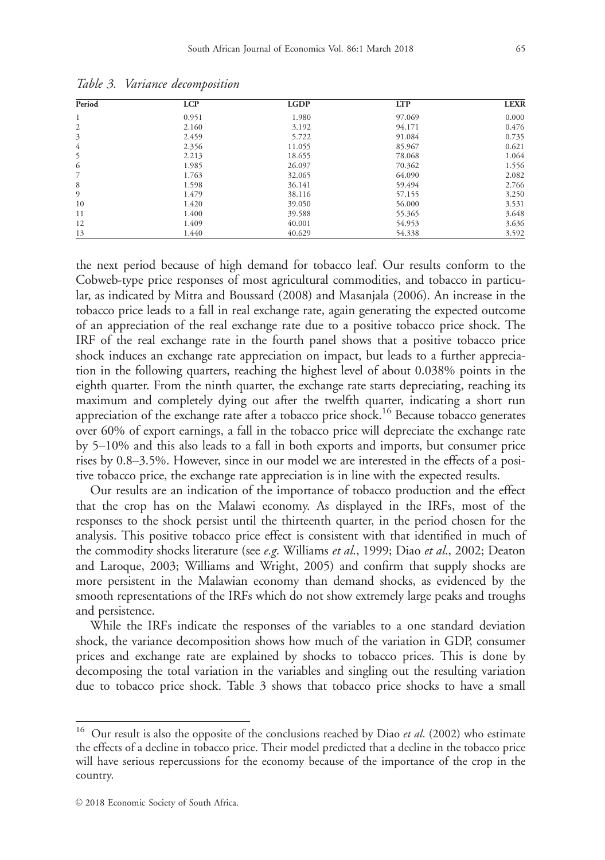| Period         | <b>LCP</b> | <b>LGDP</b> | <b>LTP</b> | <b>LEXR</b> |
|----------------|------------|-------------|------------|-------------|
| 1              | 0.951      | 1.980       | 97.069     | 0.000       |
| 2              | 2.160      | 3.192       | 94.171     | 0.476       |
| 3              | 2.459      | 5.722       | 91.084     | 0.735       |
| $\overline{4}$ | 2.356      | 11.055      | 85.967     | 0.621       |
| 5              | 2.213      | 18.655      | 78.068     | 1.064       |
| 6              | 1.985      | 26.097      | 70.362     | 1.556       |
| 7              | 1.763      | 32.065      | 64.090     | 2.082       |
| 8              | 1.598      | 36.141      | 59.494     | 2.766       |
| 9              | 1.479      | 38.116      | 57.155     | 3.250       |
| 10             | 1.420      | 39.050      | 56,000     | 3.531       |
| 11             | 1.400      | 39.588      | 55.365     | 3.648       |
| 12             | 1.409      | 40.001      | 54.953     | 3.636       |
| 13             | 1.440      | 40.629      | 54.338     | 3.592       |

Table 3. Variance decomposition

the next period because of high demand for tobacco leaf. Our results conform to the Cobweb-type price responses of most agricultural commodities, and tobacco in particular, as indicated by Mitra and Boussard (2008) and Masanjala (2006). An increase in the tobacco price leads to a fall in real exchange rate, again generating the expected outcome of an appreciation of the real exchange rate due to a positive tobacco price shock. The IRF of the real exchange rate in the fourth panel shows that a positive tobacco price shock induces an exchange rate appreciation on impact, but leads to a further appreciation in the following quarters, reaching the highest level of about 0.038% points in the eighth quarter. From the ninth quarter, the exchange rate starts depreciating, reaching its maximum and completely dying out after the twelfth quarter, indicating a short run appreciation of the exchange rate after a tobacco price shock.<sup>16</sup> Because tobacco generates over 60% of export earnings, a fall in the tobacco price will depreciate the exchange rate by 5–10% and this also leads to a fall in both exports and imports, but consumer price rises by 0.8–3.5%. However, since in our model we are interested in the effects of a positive tobacco price, the exchange rate appreciation is in line with the expected results.

Our results are an indication of the importance of tobacco production and the effect that the crop has on the Malawi economy. As displayed in the IRFs, most of the responses to the shock persist until the thirteenth quarter, in the period chosen for the analysis. This positive tobacco price effect is consistent with that identified in much of the commodity shocks literature (see *e.g.* Williams *et al.*, 1999; Diao *et al.*, 2002; Deaton and Laroque, 2003; Williams and Wright, 2005) and confirm that supply shocks are more persistent in the Malawian economy than demand shocks, as evidenced by the smooth representations of the IRFs which do not show extremely large peaks and troughs and persistence.

While the IRFs indicate the responses of the variables to a one standard deviation shock, the variance decomposition shows how much of the variation in GDP, consumer prices and exchange rate are explained by shocks to tobacco prices. This is done by decomposing the total variation in the variables and singling out the resulting variation due to tobacco price shock. Table 3 shows that tobacco price shocks to have a small

Our result is also the opposite of the conclusions reached by Diao et al. (2002) who estimate the effects of a decline in tobacco price. Their model predicted that a decline in the tobacco price will have serious repercussions for the economy because of the importance of the crop in the country.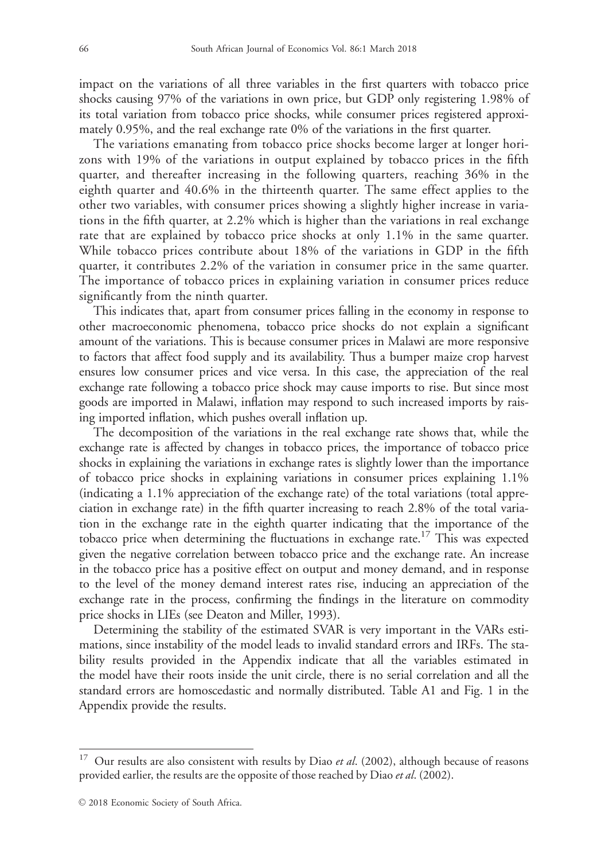impact on the variations of all three variables in the first quarters with tobacco price shocks causing 97% of the variations in own price, but GDP only registering 1.98% of its total variation from tobacco price shocks, while consumer prices registered approximately 0.95%, and the real exchange rate 0% of the variations in the first quarter.

The variations emanating from tobacco price shocks become larger at longer horizons with 19% of the variations in output explained by tobacco prices in the fifth quarter, and thereafter increasing in the following quarters, reaching 36% in the eighth quarter and 40.6% in the thirteenth quarter. The same effect applies to the other two variables, with consumer prices showing a slightly higher increase in variations in the fifth quarter, at 2.2% which is higher than the variations in real exchange rate that are explained by tobacco price shocks at only 1.1% in the same quarter. While tobacco prices contribute about 18% of the variations in GDP in the fifth quarter, it contributes 2.2% of the variation in consumer price in the same quarter. The importance of tobacco prices in explaining variation in consumer prices reduce significantly from the ninth quarter.

This indicates that, apart from consumer prices falling in the economy in response to other macroeconomic phenomena, tobacco price shocks do not explain a significant amount of the variations. This is because consumer prices in Malawi are more responsive to factors that affect food supply and its availability. Thus a bumper maize crop harvest ensures low consumer prices and vice versa. In this case, the appreciation of the real exchange rate following a tobacco price shock may cause imports to rise. But since most goods are imported in Malawi, inflation may respond to such increased imports by raising imported inflation, which pushes overall inflation up.

The decomposition of the variations in the real exchange rate shows that, while the exchange rate is affected by changes in tobacco prices, the importance of tobacco price shocks in explaining the variations in exchange rates is slightly lower than the importance of tobacco price shocks in explaining variations in consumer prices explaining 1.1% (indicating a 1.1% appreciation of the exchange rate) of the total variations (total appreciation in exchange rate) in the fifth quarter increasing to reach 2.8% of the total variation in the exchange rate in the eighth quarter indicating that the importance of the tobacco price when determining the fluctuations in exchange rate.17 This was expected given the negative correlation between tobacco price and the exchange rate. An increase in the tobacco price has a positive effect on output and money demand, and in response to the level of the money demand interest rates rise, inducing an appreciation of the exchange rate in the process, confirming the findings in the literature on commodity price shocks in LIEs (see Deaton and Miller, 1993).

Determining the stability of the estimated SVAR is very important in the VARs estimations, since instability of the model leads to invalid standard errors and IRFs. The stability results provided in the Appendix indicate that all the variables estimated in the model have their roots inside the unit circle, there is no serial correlation and all the standard errors are homoscedastic and normally distributed. Table A1 and Fig. 1 in the Appendix provide the results.

Our results are also consistent with results by Diao et al. (2002), although because of reasons provided earlier, the results are the opposite of those reached by Diao et al. (2002).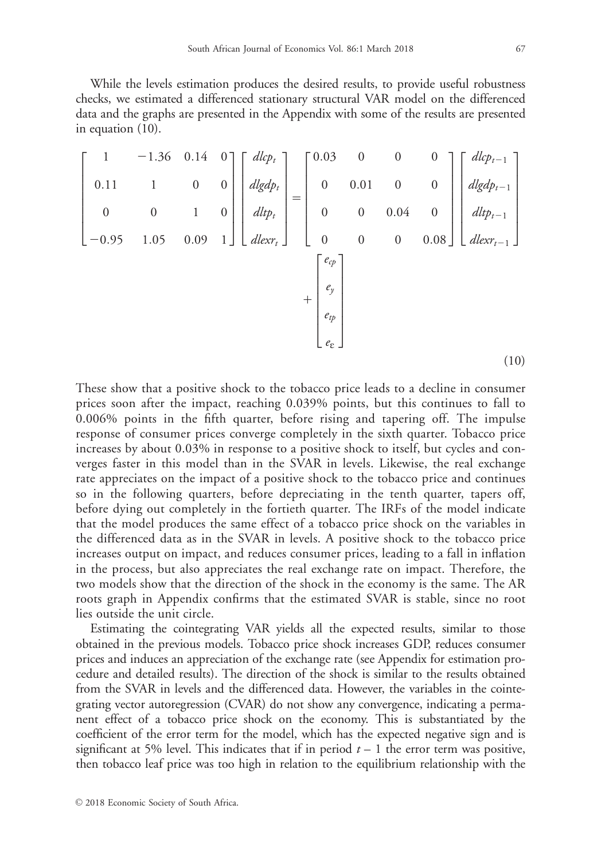While the levels estimation produces the desired results, to provide useful robustness checks, we estimated a differenced stationary structural VAR model on the differenced data and the graphs are presented in the Appendix with some of the results are presented in equation (10).

$$
\begin{bmatrix}\n1 & -1.36 & 0.14 & 0 \\
0.11 & 1 & 0 & 0 \\
0 & 0 & 1 & 0 \\
-0.95 & 1.05 & 0.09 & 1\n\end{bmatrix}\n\begin{bmatrix}\ndlep_t \\
dlgdp_t \\
dltp_t \\
dlep_t \\
dlep_t\n\end{bmatrix} =\n\begin{bmatrix}\n0.03 & 0 & 0 & 0 \\
0 & 0.01 & 0 & 0 \\
0 & 0 & 0.04 & 0 \\
0 & 0 & 0 & 0.08\n\end{bmatrix}\n\begin{bmatrix}\ndlep_{t-1} \\
dlgdp_{t-1} \\
dltp_{t-1} \\
dlep_{t-1} \\
\vdots \\
dlex_{t-1}\n\end{bmatrix}
$$
\n
$$
+\n\begin{bmatrix}\ne_p \\
e_p \\
e_p \\
e_p \\
e_t\n\end{bmatrix}
$$
\n(10)

These show that a positive shock to the tobacco price leads to a decline in consumer prices soon after the impact, reaching 0.039% points, but this continues to fall to 0.006% points in the fifth quarter, before rising and tapering off. The impulse response of consumer prices converge completely in the sixth quarter. Tobacco price increases by about 0.03% in response to a positive shock to itself, but cycles and converges faster in this model than in the SVAR in levels. Likewise, the real exchange rate appreciates on the impact of a positive shock to the tobacco price and continues so in the following quarters, before depreciating in the tenth quarter, tapers off, before dying out completely in the fortieth quarter. The IRFs of the model indicate that the model produces the same effect of a tobacco price shock on the variables in the differenced data as in the SVAR in levels. A positive shock to the tobacco price increases output on impact, and reduces consumer prices, leading to a fall in inflation in the process, but also appreciates the real exchange rate on impact. Therefore, the two models show that the direction of the shock in the economy is the same. The AR roots graph in Appendix confirms that the estimated SVAR is stable, since no root lies outside the unit circle.

Estimating the cointegrating VAR yields all the expected results, similar to those obtained in the previous models. Tobacco price shock increases GDP, reduces consumer prices and induces an appreciation of the exchange rate (see Appendix for estimation procedure and detailed results). The direction of the shock is similar to the results obtained from the SVAR in levels and the differenced data. However, the variables in the cointegrating vector autoregression (CVAR) do not show any convergence, indicating a permanent effect of a tobacco price shock on the economy. This is substantiated by the coefficient of the error term for the model, which has the expected negative sign and is significant at 5% level. This indicates that if in period  $t - 1$  the error term was positive, then tobacco leaf price was too high in relation to the equilibrium relationship with the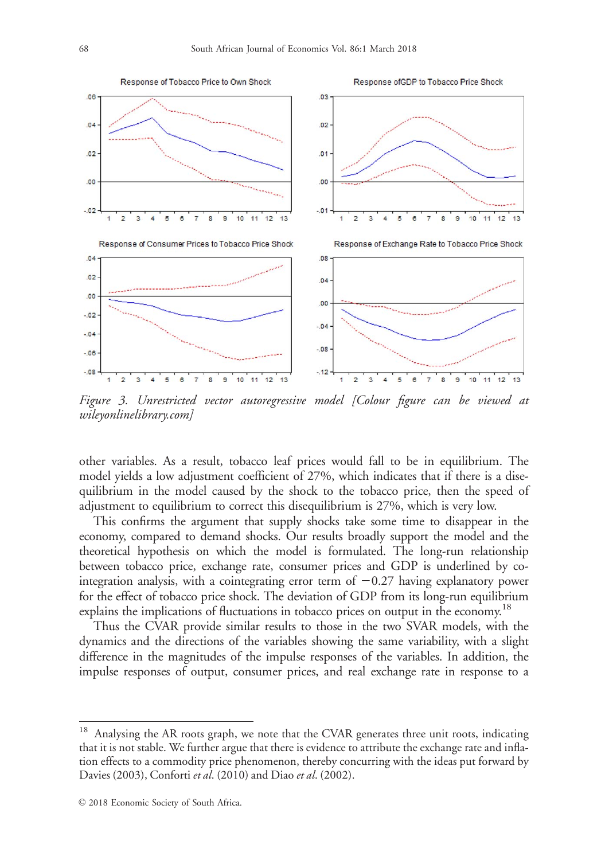

Figure 3. Unrestricted vector autoregressive model [Colour figure can be viewed at [wileyonlinelibrary.com](http://wileyonlinelibrary.com)]

other variables. As a result, tobacco leaf prices would fall to be in equilibrium. The model yields a low adjustment coefficient of 27%, which indicates that if there is a disequilibrium in the model caused by the shock to the tobacco price, then the speed of adjustment to equilibrium to correct this disequilibrium is 27%, which is very low.

This confirms the argument that supply shocks take some time to disappear in the economy, compared to demand shocks. Our results broadly support the model and the theoretical hypothesis on which the model is formulated. The long-run relationship between tobacco price, exchange rate, consumer prices and GDP is underlined by cointegration analysis, with a cointegrating error term of  $-0.27$  having explanatory power for the effect of tobacco price shock. The deviation of GDP from its long-run equilibrium explains the implications of fluctuations in tobacco prices on output in the economy.<sup>18</sup>

Thus the CVAR provide similar results to those in the two SVAR models, with the dynamics and the directions of the variables showing the same variability, with a slight difference in the magnitudes of the impulse responses of the variables. In addition, the impulse responses of output, consumer prices, and real exchange rate in response to a

<sup>18</sup> Analysing the AR roots graph, we note that the CVAR generates three unit roots, indicating that it is not stable. We further argue that there is evidence to attribute the exchange rate and inflation effects to a commodity price phenomenon, thereby concurring with the ideas put forward by Davies (2003), Conforti et al. (2010) and Diao et al. (2002).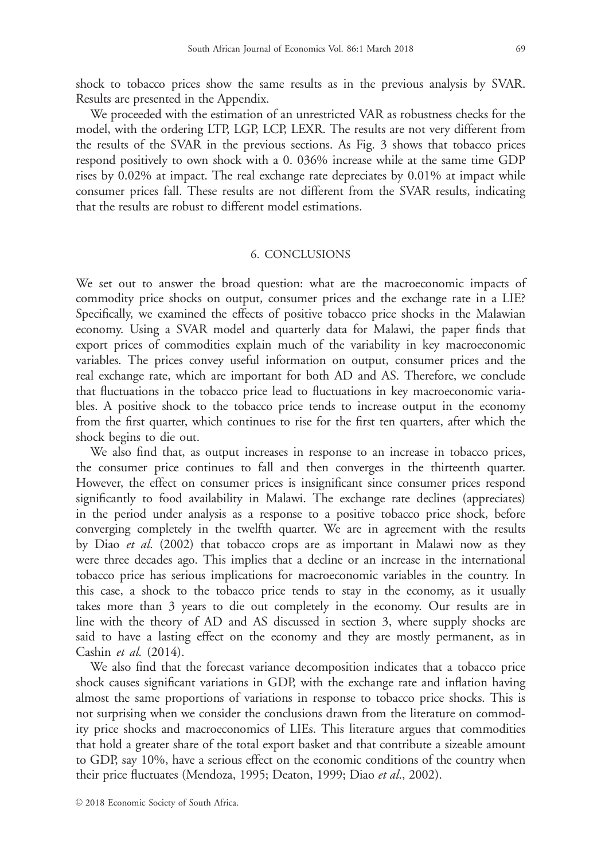shock to tobacco prices show the same results as in the previous analysis by SVAR. Results are presented in the Appendix.

We proceeded with the estimation of an unrestricted VAR as robustness checks for the model, with the ordering LTP, LGP, LCP, LEXR. The results are not very different from the results of the SVAR in the previous sections. As Fig. 3 shows that tobacco prices respond positively to own shock with a 0. 036% increase while at the same time GDP rises by 0.02% at impact. The real exchange rate depreciates by 0.01% at impact while consumer prices fall. These results are not different from the SVAR results, indicating that the results are robust to different model estimations.

## 6. CONCLUSIONS

We set out to answer the broad question: what are the macroeconomic impacts of commodity price shocks on output, consumer prices and the exchange rate in a LIE? Specifically, we examined the effects of positive tobacco price shocks in the Malawian economy. Using a SVAR model and quarterly data for Malawi, the paper finds that export prices of commodities explain much of the variability in key macroeconomic variables. The prices convey useful information on output, consumer prices and the real exchange rate, which are important for both AD and AS. Therefore, we conclude that fluctuations in the tobacco price lead to fluctuations in key macroeconomic variables. A positive shock to the tobacco price tends to increase output in the economy from the first quarter, which continues to rise for the first ten quarters, after which the shock begins to die out.

We also find that, as output increases in response to an increase in tobacco prices, the consumer price continues to fall and then converges in the thirteenth quarter. However, the effect on consumer prices is insignificant since consumer prices respond significantly to food availability in Malawi. The exchange rate declines (appreciates) in the period under analysis as a response to a positive tobacco price shock, before converging completely in the twelfth quarter. We are in agreement with the results by Diao et al. (2002) that tobacco crops are as important in Malawi now as they were three decades ago. This implies that a decline or an increase in the international tobacco price has serious implications for macroeconomic variables in the country. In this case, a shock to the tobacco price tends to stay in the economy, as it usually takes more than 3 years to die out completely in the economy. Our results are in line with the theory of AD and AS discussed in section 3, where supply shocks are said to have a lasting effect on the economy and they are mostly permanent, as in Cashin et al. (2014).

We also find that the forecast variance decomposition indicates that a tobacco price shock causes significant variations in GDP, with the exchange rate and inflation having almost the same proportions of variations in response to tobacco price shocks. This is not surprising when we consider the conclusions drawn from the literature on commodity price shocks and macroeconomics of LIEs. This literature argues that commodities that hold a greater share of the total export basket and that contribute a sizeable amount to GDP, say 10%, have a serious effect on the economic conditions of the country when their price fluctuates (Mendoza, 1995; Deaton, 1999; Diao et al., 2002).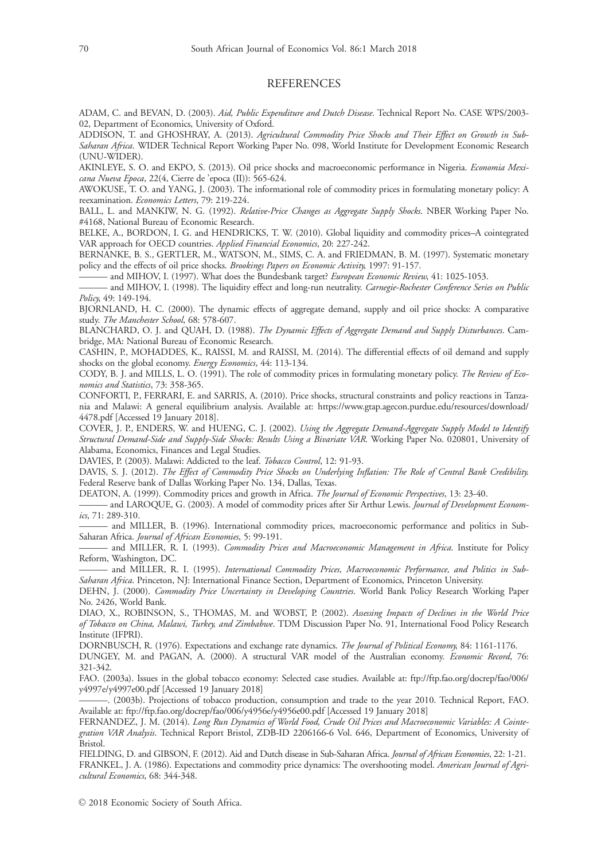#### **REFERENCES**

ADAM, C. and BEVAN, D. (2003). Aid, Public Expenditure and Dutch Disease. Technical Report No. CASE WPS/2003- 02, Department of Economics, University of Oxford.

ADDISON, T. and GHOSHRAY, A. (2013). Agricultural Commodity Price Shocks and Their Effect on Growth in Sub-Saharan Africa. WIDER Technical Report Working Paper No. 098, World Institute for Development Economic Research (UNU-WIDER).

AKINLEYE, S. O. and EKPO, S. (2013). Oil price shocks and macroeconomic performance in Nigeria. Economia Mexicana Nueva Epoca, 22(4, Cierre de 'epoca (II)): 565-624.

AWOKUSE, T. O. and YANG, J. (2003). The informational role of commodity prices in formulating monetary policy: A reexamination. Economics Letters, 79: 219-224.

BALL, L. and MANKIW, N. G. (1992). Relative-Price Changes as Aggregate Supply Shocks. NBER Working Paper No. #4168, National Bureau of Economic Research.

BELKE, A., BORDON, I. G. and HENDRICKS, T. W. (2010). Global liquidity and commodity prices–A cointegrated VAR approach for OECD countries. Applied Financial Economics, 20: 227-242.

BERNANKE, B. S., GERTLER, M., WATSON, M., SIMS, C. A. and FRIEDMAN, B. M. (1997). Systematic monetary policy and the effects of oil price shocks. Brookings Papers on Economic Activity, 1997: 91-157.

and MIHOV, I. (1997). What does the Bundesbank target? European Economic Review, 41: 1025-1053.

and MIHOV, I. (1998). The liquidity effect and long-run neutrality. Carnegie-Rochester Conference Series on Public Policy, 49: 149-194.

BJORNLAND, H. C. (2000). The dynamic effects of aggregate demand, supply and oil price shocks: A comparative study. The Manchester School, 68: 578-607.

BLANCHARD, O. J. and QUAH, D. (1988). The Dynamic Effects of Aggregate Demand and Supply Disturbances. Cambridge, MA: National Bureau of Economic Research.

CASHIN, P., MOHADDES, K., RAISSI, M. and RAISSI, M. (2014). The differential effects of oil demand and supply shocks on the global economy. Energy Economics, 44: 113-134.

CODY, B. J. and MILLS, L. O. (1991). The role of commodity prices in formulating monetary policy. The Review of Economics and Statistics, 73: 358-365.

CONFORTI, P., FERRARI, E. and SARRIS, A. (2010). Price shocks, structural constraints and policy reactions in Tanzania and Malawi: A general equilibrium analysis. Available at: [https://www.gtap.agecon.purdue.edu/resources/download/](https://www.gtap.agecon.purdue.edu/resources/download/4478.pdf) [4478.pdf](https://www.gtap.agecon.purdue.edu/resources/download/4478.pdf) [Accessed 19 January 2018].

COVER, J. P., ENDERS, W. and HUENG, C. J. (2002). Using the Aggregate Demand-Aggregate Supply Model to Identify Structural Demand-Side and Supply-Side Shocks: Results Using a Bivariate VAR. Working Paper No. 020801, University of Alabama, Economics, Finances and Legal Studies.

DAVIES, P. (2003). Malawi: Addicted to the leaf. Tobacco Control, 12: 91-93.

DAVIS, S. J. (2012). The Effect of Commodity Price Shocks on Underlying Inflation: The Role of Central Bank Credibility. Federal Reserve bank of Dallas Working Paper No. 134, Dallas, Texas.

DEATON, A. (1999). Commodity prices and growth in Africa. The Journal of Economic Perspectives, 13: 23-40.

and LAROQUE, G. (2003). A model of commodity prices after Sir Arthur Lewis. Journal of Development Economics, 71: 289-310.

——— and MILLER, B. (1996). International commodity prices, macroeconomic performance and politics in Sub-Saharan Africa. Journal of African Economies, 5: 99-191.

- and MILLER, R. I. (1993). Commodity Prices and Macroeconomic Management in Africa. Institute for Policy Reform, Washington, DC.

——— and MILLER, R. I. (1995). International Commodity Prices, Macroeconomic Performance, and Politics in Sub-Saharan Africa. Princeton, NJ: International Finance Section, Department of Economics, Princeton University.

DEHN, J. (2000). Commodity Price Uncertainty in Developing Countries. World Bank Policy Research Working Paper No. 2426, World Bank.

DIAO, X., ROBINSON, S., THOMAS, M. and WOBST, P. (2002). Assessing Impacts of Declines in the World Price of Tobacco on China, Malawi, Turkey, and Zimbabwe. TDM Discussion Paper No. 91, International Food Policy Research Institute (IFPRI).

DORNBUSCH, R. (1976). Expectations and exchange rate dynamics. The Journal of Political Economy, 84: 1161-1176.

DUNGEY, M. and PAGAN, A. (2000). A structural VAR model of the Australian economy. Economic Record, 76: 321-342.

FAO. (2003a). Issues in the global tobacco economy: Selected case studies. Available at: [ftp://ftp.fao.org/docrep/fao/006/](http://ftp://ftp.fao.org/docrep/fao/006/y4997e/y4997e00.pdf) [y4997e/y4997e00.pdf](http://ftp://ftp.fao.org/docrep/fao/006/y4997e/y4997e00.pdf) [Accessed 19 January 2018]

———. (2003b). Projections of tobacco production, consumption and trade to the year 2010. Technical Report, FAO. Available at: [ftp://ftp.fao.org/docrep/fao/006/y4956e/y4956e00.pdf](http://ftp://ftp.fao.org/docrep/fao/006/y4956e/y4956e00.pdf) [Accessed 19 January 2018]

FERNANDEZ, J. M. (2014). Long Run Dynamics of World Food, Crude Oil Prices and Macroeconomic Variables: A Cointegration VAR Analysis. Technical Report Bristol, ZDB-ID 2206166-6 Vol. 646, Department of Economics, University of Bristol.

FIELDING, D. and GIBSON, F. (2012). Aid and Dutch disease in Sub-Saharan Africa. Journal of African Economies, 22: 1-21. FRANKEL, J. A. (1986). Expectations and commodity price dynamics: The overshooting model. American Journal of Agricultural Economics, 68: 344-348.

 $\odot$  2018 Economic Society of South Africa.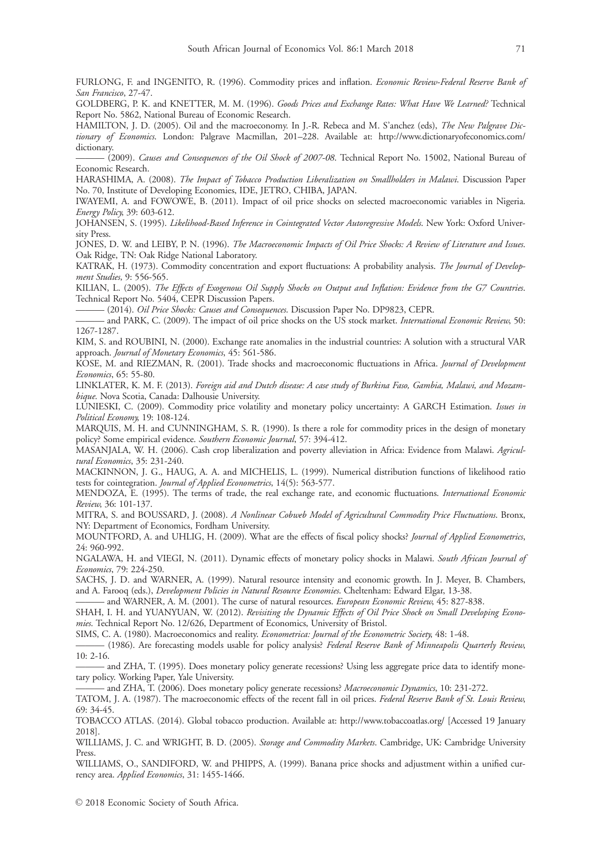FURLONG, F. and INGENITO, R. (1996). Commodity prices and inflation. Economic Review-Federal Reserve Bank of San Francisco, 27-47.

GOLDBERG, P. K. and KNETTER, M. M. (1996). Goods Prices and Exchange Rates: What Have We Learned? Technical Report No. 5862, National Bureau of Economic Research.

HAMILTON, J. D. (2005). Oil and the macroeconomy. In J.-R. Rebeca and M. S'anchez (eds), The New Palgrave Dictionary of Economics. London: Palgrave Macmillan, 201-228. Available at: [http://www.dictionaryofeconomics.com/](http://www.dictionaryofeconomics.com/dictionary) [dictionary.](http://www.dictionaryofeconomics.com/dictionary)

- (2009). Causes and Consequences of the Oil Shock of 2007-08. Technical Report No. 15002, National Bureau of Economic Research.

HARASHIMA, A. (2008). The Impact of Tobacco Production Liberalization on Smallholders in Malawi. Discussion Paper No. 70, Institute of Developing Economies, IDE, JETRO, CHIBA, JAPAN.

IWAYEMI, A. and FOWOWE, B. (2011). Impact of oil price shocks on selected macroeconomic variables in Nigeria. Energy Policy, 39: 603-612.

JOHANSEN, S. (1995). Likelihood-Based Inference in Cointegrated Vector Autoregressive Models. New York: Oxford University Press.

JONES, D. W. and LEIBY, P. N. (1996). The Macroeconomic Impacts of Oil Price Shocks: A Review of Literature and Issues. Oak Ridge, TN: Oak Ridge National Laboratory.

KATRAK, H. (1973). Commodity concentration and export fluctuations: A probability analysis. The Journal of Development Studies, 9: 556-565.

KILIAN, L. (2005). The Effects of Exogenous Oil Supply Shocks on Output and Inflation: Evidence from the G7 Countries. Technical Report No. 5404, CEPR Discussion Papers.

- (2014). Oil Price Shocks: Causes and Consequences. Discussion Paper No. DP9823, CEPR.

- and PARK, C. (2009). The impact of oil price shocks on the US stock market. International Economic Review, 50: 1267-1287.

KIM, S. and ROUBINI, N. (2000). Exchange rate anomalies in the industrial countries: A solution with a structural VAR approach. Journal of Monetary Economics, 45: 561-586.

KOSE, M. and RIEZMAN, R. (2001). Trade shocks and macroeconomic fluctuations in Africa. Journal of Development Economics, 65: 55-80.

LINKLATER, K. M. F. (2013). Foreign aid and Dutch disease: A case study of Burkina Faso, Gambia, Malawi, and Mozambique. Nova Scotia, Canada: Dalhousie University.

LUNIESKI, C. (2009). Commodity price volatility and monetary policy uncertainty: A GARCH Estimation. Issues in Political Economy, 19: 108-124.

MARQUIS, M. H. and CUNNINGHAM, S. R. (1990). Is there a role for commodity prices in the design of monetary policy? Some empirical evidence. Southern Economic Journal, 57: 394-412.

MASANJALA, W. H. (2006). Cash crop liberalization and poverty alleviation in Africa: Evidence from Malawi. Agricultural Economics, 35: 231-240.

MACKINNON, J. G., HAUG, A. A. and MICHELIS, L. (1999). Numerical distribution functions of likelihood ratio tests for cointegration. Journal of Applied Econometrics, 14(5): 563-577.

MENDOZA, E. (1995). The terms of trade, the real exchange rate, and economic fluctuations. International Economic Review, 36: 101-137.

MITRA, S. and BOUSSARD, J. (2008). A Nonlinear Cobweb Model of Agricultural Commodity Price Fluctuations. Bronx, NY: Department of Economics, Fordham University.

MOUNTFORD, A. and UHLIG, H. (2009). What are the effects of fiscal policy shocks? Journal of Applied Econometrics, 24: 960-992.

NGALAWA, H. and VIEGI, N. (2011). Dynamic effects of monetary policy shocks in Malawi. South African Journal of Economics, 79: 224-250.

SACHS, J. D. and WARNER, A. (1999). Natural resource intensity and economic growth. In J. Meyer, B. Chambers, and A. Farooq (eds.), Development Policies in Natural Resource Economies. Cheltenham: Edward Elgar, 13-38.

and WARNER, A. M. (2001). The curse of natural resources. European Economic Review, 45: 827-838.

SHAH, I. H. and YUANYUAN, W. (2012). Revisiting the Dynamic Effects of Oil Price Shock on Small Developing Economies. Technical Report No. 12/626, Department of Economics, University of Bristol.

SIMS, C. A. (1980). Macroeconomics and reality. Econometrica: Journal of the Econometric Society, 48: 1-48.

- (1986). Are forecasting models usable for policy analysis? Federal Reserve Bank of Minneapolis Quarterly Review, 10: 2-16.

- and ZHA, T. (1995). Does monetary policy generate recessions? Using less aggregate price data to identify monetary policy. Working Paper, Yale University.

- and ZHA, T. (2006). Does monetary policy generate recessions? Macroeconomic Dynamics, 10: 231-272.

TATOM, J. A. (1987). The macroeconomic effects of the recent fall in oil prices. Federal Reserve Bank of St. Louis Review, 69: 34-45.

TOBACCO ATLAS. (2014). Global tobacco production. Available at:<http://www.tobaccoatlas.org/> [Accessed 19 January 2018].

WILLIAMS, J. C. and WRIGHT, B. D. (2005). Storage and Commodity Markets. Cambridge, UK: Cambridge University Press.

WILLIAMS, O., SANDIFORD, W. and PHIPPS, A. (1999). Banana price shocks and adjustment within a unified currency area. Applied Economics, 31: 1455-1466.

 $\odot$  2018 Economic Society of South Africa.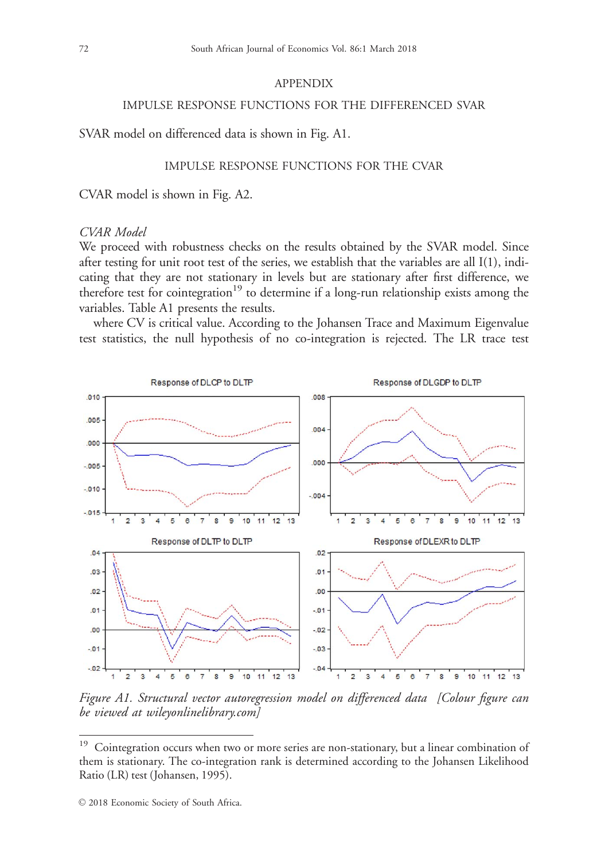## APPENDIX

## IMPULSE RESPONSE FUNCTIONS FOR THE DIFFERENCED SVAR

SVAR model on differenced data is shown in Fig. A1.

## IMPULSE RESPONSE FUNCTIONS FOR THE CVAR

CVAR model is shown in Fig. A2.

#### CVAR Model

We proceed with robustness checks on the results obtained by the SVAR model. Since after testing for unit root test of the series, we establish that the variables are all I(1), indicating that they are not stationary in levels but are stationary after first difference, we therefore test for cointegration<sup>19</sup> to determine if a long-run relationship exists among the variables. Table A1 presents the results.

where CV is critical value. According to the Johansen Trace and Maximum Eigenvalue test statistics, the null hypothesis of no co-integration is rejected. The LR trace test



Figure A1. Structural vector autoregression model on differenced data [Colour figure can be viewed at [wileyonlinelibrary.com\]](http://wileyonlinelibrary.com)

<sup>&</sup>lt;sup>19</sup> Cointegration occurs when two or more series are non-stationary, but a linear combination of them is stationary. The co-integration rank is determined according to the Johansen Likelihood Ratio (LR) test (Johansen, 1995).

 $©$  2018 Economic Society of South Africa.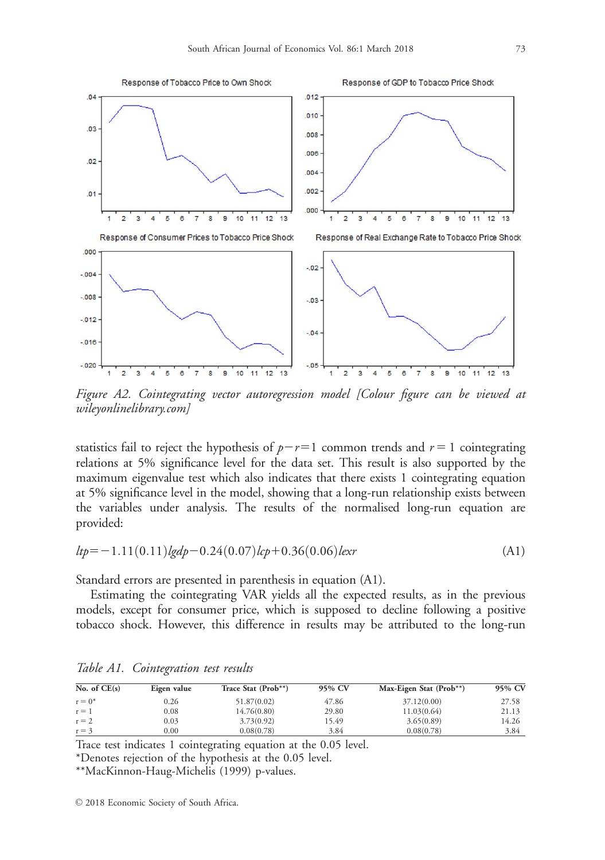

Figure A2. Cointegrating vector autoregression model [Colour figure can be viewed at [wileyonlinelibrary.com\]](http://wileyonlinelibrary.com)

statistics fail to reject the hypothesis of  $p-r=1$  common trends and  $r=1$  cointegrating relations at 5% significance level for the data set. This result is also supported by the maximum eigenvalue test which also indicates that there exists 1 cointegrating equation at 5% significance level in the model, showing that a long-run relationship exists between the variables under analysis. The results of the normalised long-run equation are provided:

$$
ltp = -1.11(0.11)lgdp - 0.24(0.07)lrp + 0.36(0.06)lexr
$$
\n(A1)

Standard errors are presented in parenthesis in equation (A1).

Estimating the cointegrating VAR yields all the expected results, as in the previous models, except for consumer price, which is supposed to decline following a positive tobacco shock. However, this difference in results may be attributed to the long-run

| No. of $CE(s)$ | Eigen value | Trace Stat (Prob**) | 95% CV | Max-Eigen Stat (Prob**) | 95% CV |
|----------------|-------------|---------------------|--------|-------------------------|--------|
| $r = 0^*$      | 0.26        | 51.87(0.02)         | 47.86  | 37.12(0.00)             | 27.58  |
| $r = 1$        | 0.08        | 14.76(0.80)         | 29.80  | 11.03(0.64)             | 21.13  |
| $r = 2$        | 0.03        | 3.73(0.92)          | 15.49  | 3.65(0.89)              | 14.26  |
| $r = 3$        | $0.00\,$    | 0.08(0.78)          | 3.84   | 0.08(0.78)              | 3.84   |

Table A1. Cointegration test results

Trace test indicates 1 cointegrating equation at the 0.05 level.

\*Denotes rejection of the hypothesis at the 0.05 level.

\*\*MacKinnon-Haug-Michelis (1999) p-values.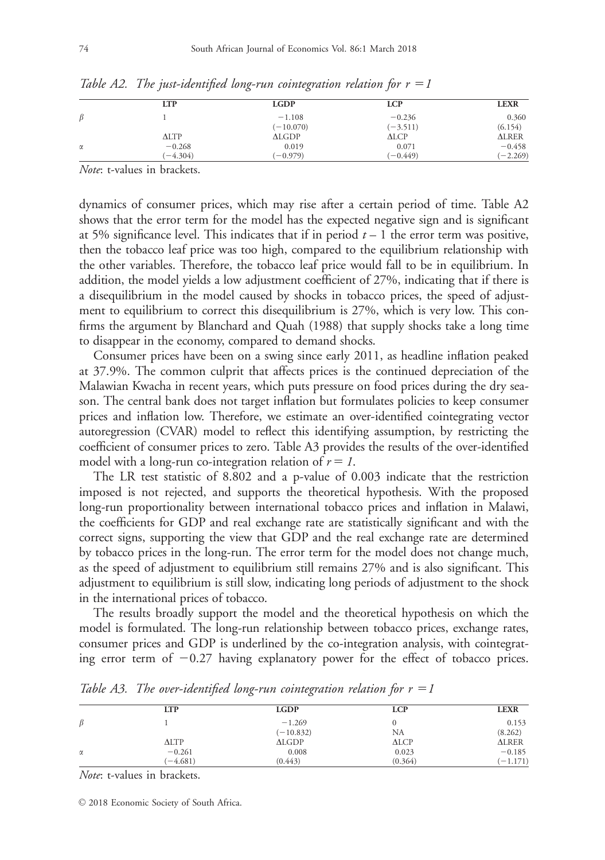|         | <b>LTP</b>      | <b>LGDP</b> | <b>LCP</b> | <b>LEXR</b>  |
|---------|-----------------|-------------|------------|--------------|
| $\beta$ |                 | $-1.108$    | $-0.236$   | 0.360        |
|         |                 | $(-10.070)$ | $(-3.511)$ | (6.154)      |
|         | $\triangle$ LTP | ALGDP       | ALCP       | <b>ALRER</b> |
| α       | $-0.268$        | 0.019       | 0.071      | $-0.458$     |
|         | $(-4.304)$      | $(-0.979)$  | $(-0.449)$ | $(-2.269)$   |

Table A2. The just-identified long-run cointegration relation for  $r = 1$ 

Note: t-values in brackets.

dynamics of consumer prices, which may rise after a certain period of time. Table A2 shows that the error term for the model has the expected negative sign and is significant at 5% significance level. This indicates that if in period  $t - 1$  the error term was positive, then the tobacco leaf price was too high, compared to the equilibrium relationship with the other variables. Therefore, the tobacco leaf price would fall to be in equilibrium. In addition, the model yields a low adjustment coefficient of 27%, indicating that if there is a disequilibrium in the model caused by shocks in tobacco prices, the speed of adjustment to equilibrium to correct this disequilibrium is 27%, which is very low. This confirms the argument by Blanchard and Quah (1988) that supply shocks take a long time to disappear in the economy, compared to demand shocks.

Consumer prices have been on a swing since early 2011, as headline inflation peaked at 37.9%. The common culprit that affects prices is the continued depreciation of the Malawian Kwacha in recent years, which puts pressure on food prices during the dry season. The central bank does not target inflation but formulates policies to keep consumer prices and inflation low. Therefore, we estimate an over-identified cointegrating vector autoregression (CVAR) model to reflect this identifying assumption, by restricting the coefficient of consumer prices to zero. Table A3 provides the results of the over-identified model with a long-run co-integration relation of  $r = 1$ .

The LR test statistic of 8.802 and a p-value of 0.003 indicate that the restriction imposed is not rejected, and supports the theoretical hypothesis. With the proposed long-run proportionality between international tobacco prices and inflation in Malawi, the coefficients for GDP and real exchange rate are statistically significant and with the correct signs, supporting the view that GDP and the real exchange rate are determined by tobacco prices in the long-run. The error term for the model does not change much, as the speed of adjustment to equilibrium still remains 27% and is also significant. This adjustment to equilibrium is still slow, indicating long periods of adjustment to the shock in the international prices of tobacco.

The results broadly support the model and the theoretical hypothesis on which the model is formulated. The long-run relationship between tobacco prices, exchange rates, consumer prices and GDP is underlined by the co-integration analysis, with cointegrating error term of  $-0.27$  having explanatory power for the effect of tobacco prices.

|          | <b>LTP</b>      | <b>LGDP</b> | <b>LCP</b> | <b>LEXR</b>  |
|----------|-----------------|-------------|------------|--------------|
| ß        |                 | $-1.269$    |            | 0.153        |
|          |                 | $(-10.832)$ | NA         | (8.262)      |
|          | $\triangle$ LTP | ALGDP       | ALCP       | <b>ALRER</b> |
| $\alpha$ | $-0.261$        | 0.008       | 0.023      | $-0.185$     |
|          | $(-4.681)$      | (0.443)     | (0.364)    | $(-1.171)$   |

Table A3. The over-identified long-run cointegration relation for  $r = 1$ 

Note: t-values in brackets.

 $\odot$  2018 Economic Society of South Africa.